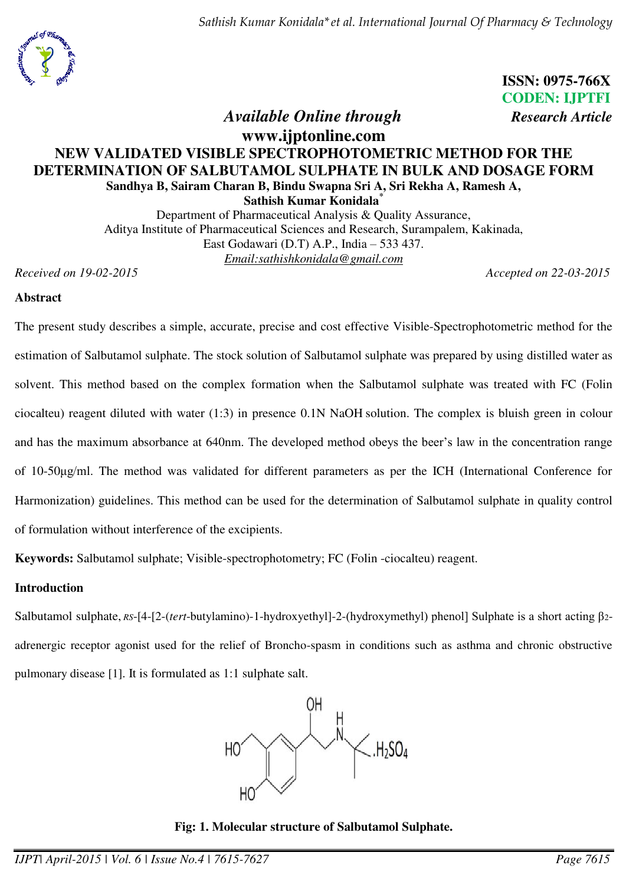*Sathish Kumar Konidala\*et al. International Journal Of Pharmacy & Technology* 

 **ISSN: 0975-766X CODEN: IJPTFI**   *Available Online through Research Article*

# **www.ijptonline.com NEW VALIDATED VISIBLE SPECTROPHOTOMETRIC METHOD FOR THE DETERMINATION OF SALBUTAMOL SULPHATE IN BULK AND DOSAGE FORM Sandhya B, Sairam Charan B, Bindu Swapna Sri A, Sri Rekha A, Ramesh A, Sathish Kumar Konidala\***

Department of Pharmaceutical Analysis & Quality Assurance, Aditya Institute of Pharmaceutical Sciences and Research, Surampalem, Kakinada, East Godawari (D.T) A.P., India – 533 437. *Email[:sathishkonidala@gmail.com](mailto:sathishkonidala@gmail.com)* 

*Received on 19-02-2015 Accepted on 22-03-2015* 

#### **Abstract**

The present study describes a simple, accurate, precise and cost effective Visible-Spectrophotometric method for the estimation of Salbutamol sulphate. The stock solution of Salbutamol sulphate was prepared by using distilled water as solvent. This method based on the complex formation when the Salbutamol sulphate was treated with FC (Folin ciocalteu) reagent diluted with water (1:3) in presence 0.1N NaOH solution. The complex is bluish green in colour and has the maximum absorbance at 640nm. The developed method obeys the beer's law in the concentration range of 10-50ȝg/ml. The method was validated for different parameters as per the ICH (International Conference for Harmonization) guidelines. This method can be used for the determination of Salbutamol sulphate in quality control of formulation without interference of the excipients.

**Keywords:** Salbutamol sulphate; Visible-spectrophotometry; FC (Folin -ciocalteu) reagent.

## **Introduction**

Salbutamol sulphate, *RS*-[4-[2-(*tert*-butylamino)-1-hydroxyethyl]-2-(hydroxymethyl) phenol] Sulphate is a short acting β2 adrenergic receptor agonist used for the relief of Broncho-spasm in conditions such as asthma and chronic obstructive pulmonary disease [1]. It is formulated as 1:1 sulphate salt.



**Fig: 1. Molecular structure of Salbutamol Sulphate.**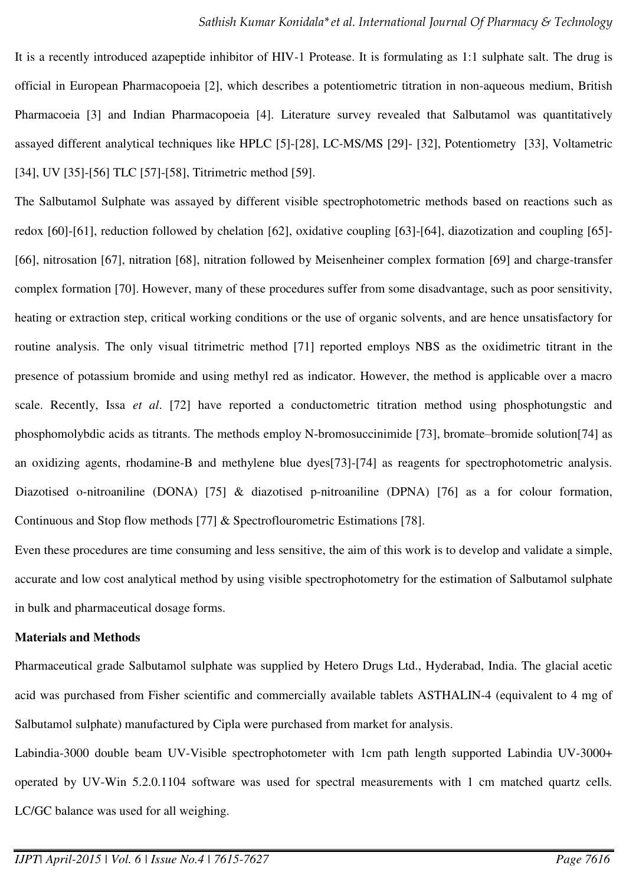It is a recently introduced azapeptide inhibitor of HIV-1 Protease. It is formulating as 1:1 sulphate salt. The drug is official in European Pharmacopoeia [2], which describes a potentiometric titration in non-aqueous medium, British Pharmacoeia [3] and Indian Pharmacopoeia [4]. Literature survey revealed that Salbutamol was quantitatively assayed different analytical techniques like HPLC [5]-[28], LC-MS/MS [29]- [32], Potentiometry [33], Voltametric [34], UV [35]-[56] TLC [57]-[58], Titrimetric method [59].

The Salbutamol Sulphate was assayed by different visible spectrophotometric methods based on reactions such as redox [60]-[61], reduction followed by chelation [62], oxidative coupling [63]-[64], diazotization and coupling [65]- [66], nitrosation [67], nitration [68], nitration followed by Meisenheiner complex formation [69] and charge-transfer complex formation [70]. However, many of these procedures suffer from some disadvantage, such as poor sensitivity, heating or extraction step, critical working conditions or the use of organic solvents, and are hence unsatisfactory for routine analysis. The only visual titrimetric method [71] reported employs NBS as the oxidimetric titrant in the presence of potassium bromide and using methyl red as indicator. However, the method is applicable over a macro scale. Recently, Issa *et al*. [72] have reported a conductometric titration method using phosphotungstic and phosphomolybdic acids as titrants. The methods employ N-bromosuccinimide [73], bromate–bromide solution[74] as an oxidizing agents, rhodamine-B and methylene blue dyes[73]-[74] as reagents for spectrophotometric analysis. Diazotised o-nitroaniline (DONA) [75] & diazotised p-nitroaniline (DPNA) [76] as a for colour formation, Continuous and Stop flow methods [77] & Spectroflourometric Estimations [78].

Even these procedures are time consuming and less sensitive, the aim of this work is to develop and validate a simple, accurate and low cost analytical method by using visible spectrophotometry for the estimation of Salbutamol sulphate in bulk and pharmaceutical dosage forms.

## **Materials and Methods**

Pharmaceutical grade Salbutamol sulphate was supplied by Hetero Drugs Ltd., Hyderabad, India. The glacial acetic acid was purchased from Fisher scientific and commercially available tablets ASTHALIN-4 (equivalent to 4 mg of Salbutamol sulphate) manufactured by Cipla were purchased from market for analysis.

Labindia-3000 double beam UV-Visible spectrophotometer with 1cm path length supported Labindia UV-3000+ operated by UV-Win 5.2.0.1104 software was used for spectral measurements with 1 cm matched quartz cells*.* LC/GC balance was used for all weighing.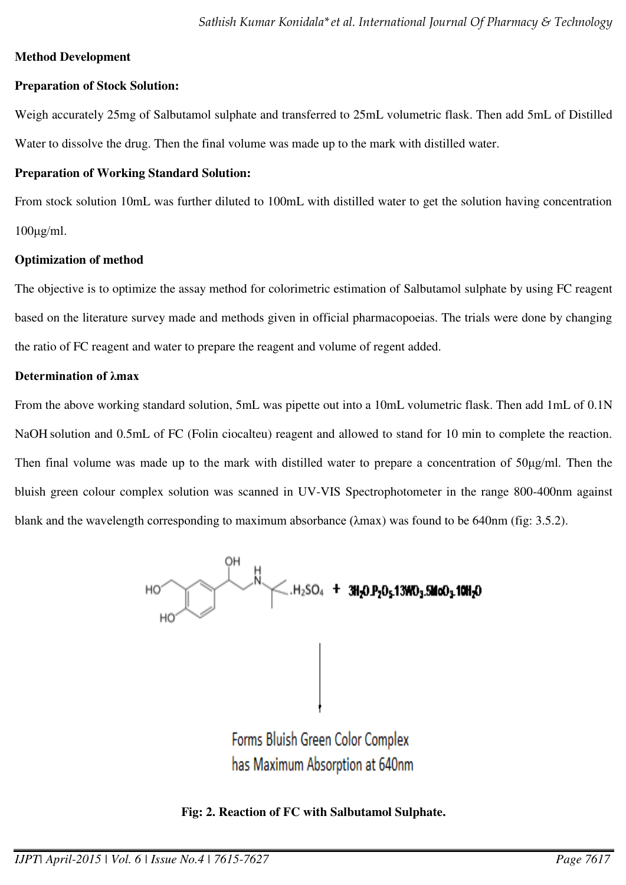# **Method Development**

# **Preparation of Stock Solution:**

Weigh accurately 25mg of Salbutamol sulphate and transferred to 25mL volumetric flask. Then add 5mL of Distilled Water to dissolve the drug. Then the final volume was made up to the mark with distilled water.

# **Preparation of Working Standard Solution:**

From stock solution 10mL was further diluted to 100mL with distilled water to get the solution having concentration  $100\mu g/ml$ .

# **Optimization of method**

The objective is to optimize the assay method for colorimetric estimation of Salbutamol sulphate by using FC reagent based on the literature survey made and methods given in official pharmacopoeias. The trials were done by changing the ratio of FC reagent and water to prepare the reagent and volume of regent added.

# **Determination of λmax**

From the above working standard solution, 5mL was pipette out into a 10mL volumetric flask. Then add 1mL of 0.1N NaOH solution and 0.5mL of FC (Folin ciocalteu) reagent and allowed to stand for 10 min to complete the reaction. Then final volume was made up to the mark with distilled water to prepare a concentration of  $50\mu g/ml$ . Then the bluish green colour complex solution was scanned in UV-VIS Spectrophotometer in the range 800-400nm against blank and the wavelength corresponding to maximum absorbance  $(\lambda max)$  was found to be 640nm (fig: 3.5.2).



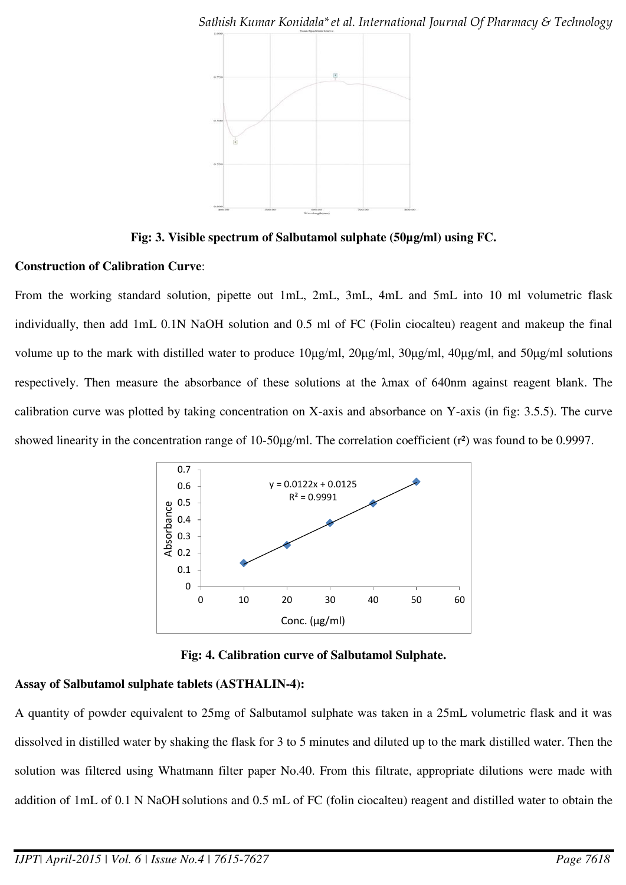

**Fig: 3. Visible spectrum of Salbutamol sulphate (50µg/ml) using FC.** 

# **Construction of Calibration Curve**:

From the working standard solution, pipette out 1mL, 2mL, 3mL, 4mL and 5mL into 10 ml volumetric flask individually, then add 1mL 0.1N NaOH solution and 0.5 ml of FC (Folin ciocalteu) reagent and makeup the final volume up to the mark with distilled water to produce  $10\mu\text{g/ml}$ ,  $20\mu\text{g/ml}$ ,  $30\mu\text{g/ml}$ ,  $40\mu\text{g/ml}$ , and  $50\mu\text{g/ml}$  solutions respectively. Then measure the absorbance of these solutions at the  $\lambda$ max of 640nm against reagent blank. The calibration curve was plotted by taking concentration on X-axis and absorbance on Y-axis (in fig: 3.5.5). The curve showed linearity in the concentration range of 10-50 $\mu$ g/ml. The correlation coefficient (r<sup>2</sup>) was found to be 0.9997.



**Fig: 4. Calibration curve of Salbutamol Sulphate.** 

# **Assay of Salbutamol sulphate tablets (ASTHALIN-4):**

A quantity of powder equivalent to 25mg of Salbutamol sulphate was taken in a 25mL volumetric flask and it was dissolved in distilled water by shaking the flask for 3 to 5 minutes and diluted up to the mark distilled water. Then the solution was filtered using Whatmann filter paper No.40. From this filtrate, appropriate dilutions were made with addition of 1mL of 0.1 N NaOH solutions and 0.5 mL of FC (folin ciocalteu) reagent and distilled water to obtain the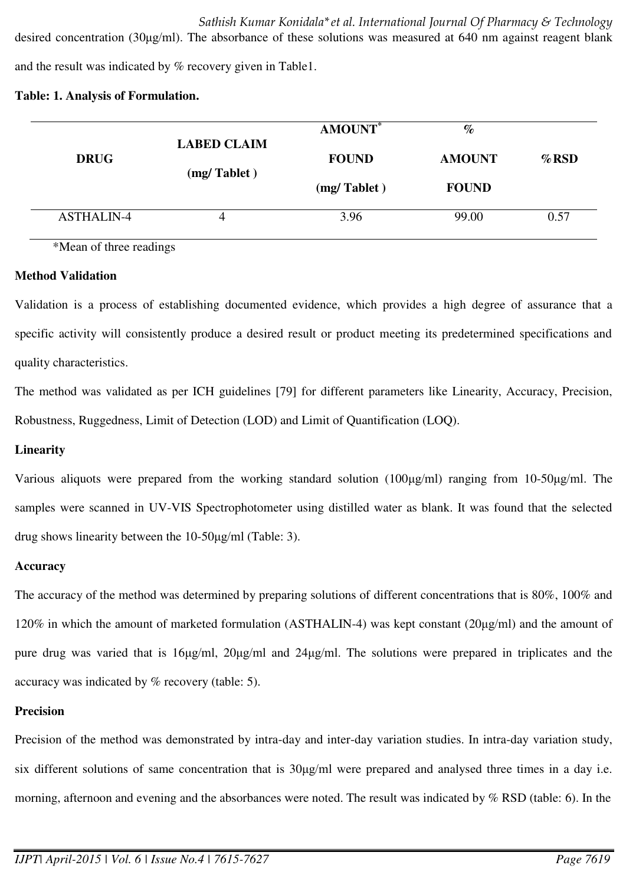and the result was indicated by % recovery given in Table1.

#### **Table: 1. Analysis of Formulation.**

| <b>DRUG</b>       | <b>LABED CLAIM</b> | <b>AMOUNT</b> * | $\%$          |          |
|-------------------|--------------------|-----------------|---------------|----------|
|                   | (mg/ Tablet)       | <b>FOUND</b>    | <b>AMOUNT</b> | $\%$ RSD |
|                   |                    | (mg/ Tablet)    | <b>FOUND</b>  |          |
| <b>ASTHALIN-4</b> | 4                  | 3.96            | 99.00         | 0.57     |

desired concentration (30µg/ml). The absorbance of these solutions was measured at 640 nm against reagent blank

\*Mean of three readings

## **Method Validation**

Validation is a process of establishing documented evidence, which provides a high degree of assurance that a specific activity will consistently produce a desired result or product meeting its predetermined specifications and quality characteristics.

The method was validated as per ICH guidelines [79] for different parameters like Linearity, Accuracy, Precision, Robustness, Ruggedness, Limit of Detection (LOD) and Limit of Quantification (LOQ).

## **Linearity**

Various aliquots were prepared from the working standard solution  $(100\mu\text{g/ml})$  ranging from  $10-50\mu\text{g/ml}$ . The samples were scanned in UV-VIS Spectrophotometer using distilled water as blank. It was found that the selected drug shows linearity between the  $10-50\mu\text{g/mL}$  (Table: 3).

## **Accuracy**

The accuracy of the method was determined by preparing solutions of different concentrations that is 80%, 100% and  $120\%$  in which the amount of marketed formulation (ASTHALIN-4) was kept constant ( $20\mu g/ml$ ) and the amount of pure drug was varied that is 16µg/ml, 20µg/ml and 24µg/ml. The solutions were prepared in triplicates and the accuracy was indicated by % recovery (table: 5).

## **Precision**

Precision of the method was demonstrated by intra-day and inter-day variation studies. In intra-day variation study, six different solutions of same concentration that is  $30\mu\text{g/ml}$  were prepared and analysed three times in a day i.e. morning, afternoon and evening and the absorbances were noted. The result was indicated by % RSD (table: 6). In the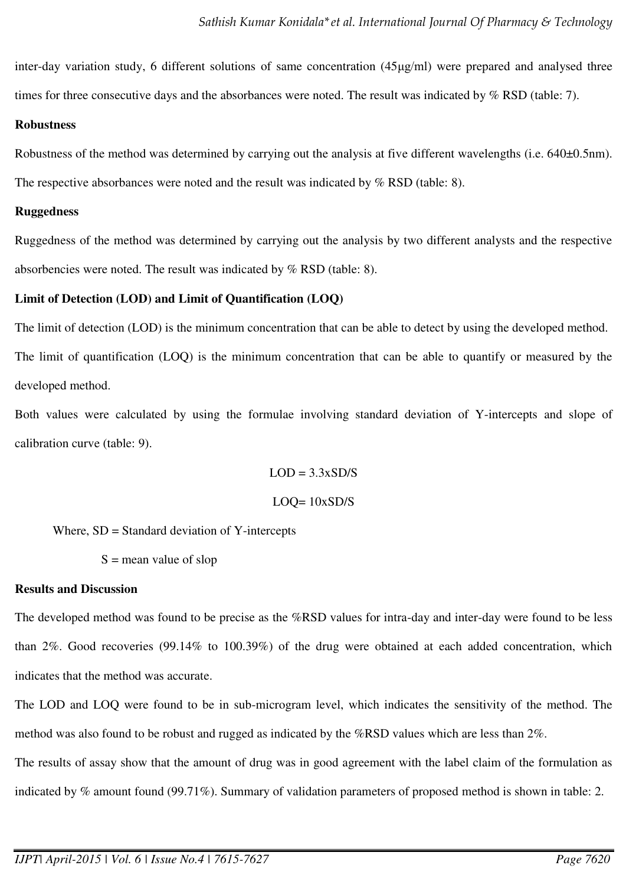inter-day variation study, 6 different solutions of same concentration (45µg/ml) were prepared and analysed three times for three consecutive days and the absorbances were noted. The result was indicated by % RSD (table: 7).

## **Robustness**

Robustness of the method was determined by carrying out the analysis at five different wavelengths (i.e. 640±0.5nm).

The respective absorbances were noted and the result was indicated by  $%$  RSD (table: 8).

## **Ruggedness**

Ruggedness of the method was determined by carrying out the analysis by two different analysts and the respective absorbencies were noted. The result was indicated by % RSD (table: 8).

# **Limit of Detection (LOD) and Limit of Quantification (LOQ)**

The limit of detection (LOD) is the minimum concentration that can be able to detect by using the developed method. The limit of quantification (LOQ) is the minimum concentration that can be able to quantify or measured by the developed method.

Both values were calculated by using the formulae involving standard deviation of Y-intercepts and slope of calibration curve (table: 9).

$$
LOD = 3.3xSD/S
$$

$$
LOQ = 10xSD/S
$$

Where, SD = Standard deviation of Y-intercepts

 $S =$  mean value of slop

# **Results and Discussion**

The developed method was found to be precise as the %RSD values for intra-day and inter-day were found to be less than 2%. Good recoveries (99.14% to 100.39%) of the drug were obtained at each added concentration, which indicates that the method was accurate.

The LOD and LOQ were found to be in sub-microgram level, which indicates the sensitivity of the method. The method was also found to be robust and rugged as indicated by the %RSD values which are less than 2%.

The results of assay show that the amount of drug was in good agreement with the label claim of the formulation as

indicated by % amount found (99.71%). Summary of validation parameters of proposed method is shown in table: 2.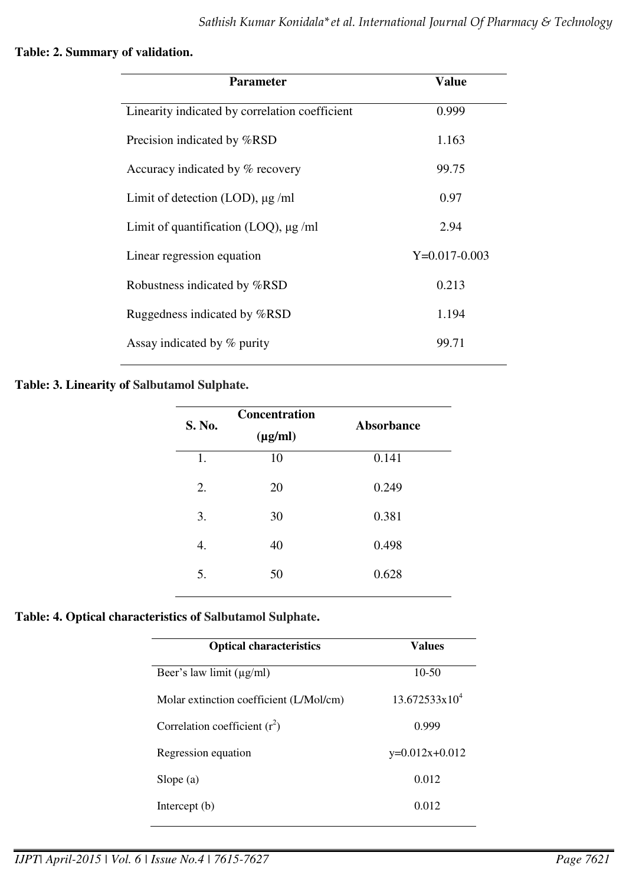### **Table: 2. Summary of validation.**

| <b>Parameter</b>                               | Value           |
|------------------------------------------------|-----------------|
| Linearity indicated by correlation coefficient | 0.999           |
| Precision indicated by %RSD                    | 1.163           |
| Accuracy indicated by % recovery               | 99.75           |
| Limit of detection (LOD), $\mu$ g/ml           | 0.97            |
| Limit of quantification (LOQ), $\mu$ g/ml      | 2.94            |
| Linear regression equation                     | $Y=0.017-0.003$ |
| Robustness indicated by %RSD                   | 0.213           |
| Ruggedness indicated by %RSD                   | 1.194           |
| Assay indicated by % purity                    | 99.71           |

## **Table: 3. Linearity of Salbutamol Sulphate.**

| S. No. | <b>Concentration</b><br>$(\mu g/ml)$ | <b>Absorbance</b> |
|--------|--------------------------------------|-------------------|
| 1.     | 10                                   | 0.141             |
| 2.     | 20                                   | 0.249             |
| 3.     | 30                                   | 0.381             |
| 4.     | 40                                   | 0.498             |
| 5.     | 50                                   | 0.628             |

# **Table: 4. Optical characteristics of Salbutamol Sulphate.**

| <b>Optical characteristics</b>          | <b>Values</b>             |  |
|-----------------------------------------|---------------------------|--|
| Beer's law limit $(\mu g/ml)$           | $10 - 50$                 |  |
| Molar extinction coefficient (L/Mol/cm) | 13.672533x10 <sup>4</sup> |  |
| Correlation coefficient $(r^2)$         | 0.999                     |  |
| Regression equation                     | $y=0.012x+0.012$          |  |
| Slope $(a)$                             | 0.012                     |  |
| Intercept $(b)$                         | 0.012                     |  |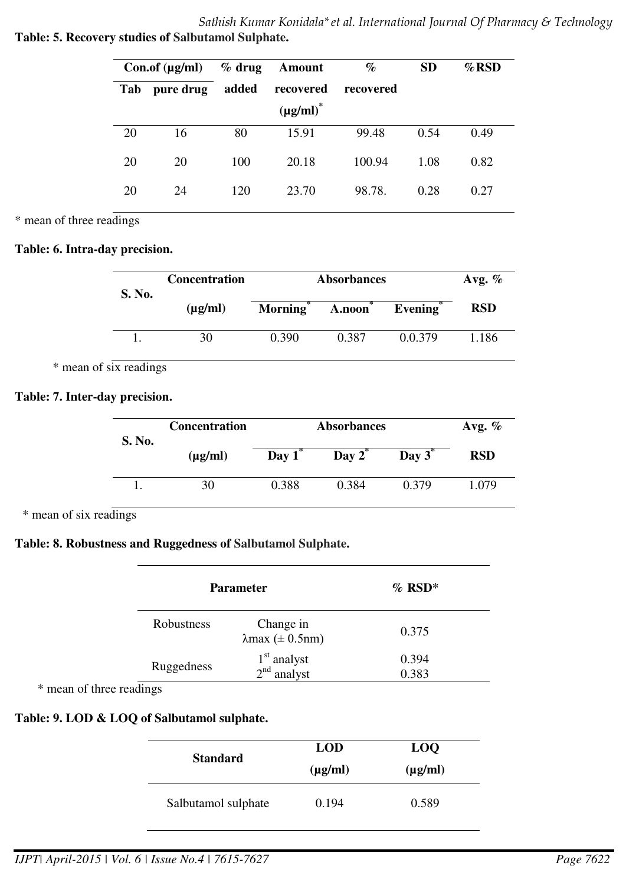*Sathish Kumar Konidala\*et al. International Journal Of Pharmacy & Technology*  **Table: 5. Recovery studies of Salbutamol Sulphate.** 

|     | Con.of $(\mu g/ml)$ | $%$ drug | Amount         | $\%$      | <b>SD</b> | $\%$ RSD |
|-----|---------------------|----------|----------------|-----------|-----------|----------|
| Tab | pure drug           | added    | recovered      | recovered |           |          |
|     |                     |          | $(\mu g/ml)^*$ |           |           |          |
| 20  | 16                  | 80       | 15.91          | 99.48     | 0.54      | 0.49     |
| 20  | 20                  | 100      | 20.18          | 100.94    | 1.08      | 0.82     |
| 20  | 24                  | 120      | 23.70          | 98.78.    | 0.28      | 0.27     |

\* mean of three readings

## **Table: 6. Intra-day precision.**

| S. No. | <b>Concentration</b> | <b>Absorbances</b>   |        |         | Avg. $\%$  |
|--------|----------------------|----------------------|--------|---------|------------|
|        | $(\mu g/ml)$         | Morning <sup>*</sup> | A.noon | Evening | <b>RSD</b> |
|        | 30                   | 0.390                | 0.387  | 0.0.379 | 1.186      |

\* mean of six readings

# **Table: 7. Inter-day precision.**

| S. No. | <b>Concentration</b> | <b>Absorbances</b> | Avg. $%$  |           |            |
|--------|----------------------|--------------------|-----------|-----------|------------|
|        | $(\mu g/ml)$         | Day $1^*$          | Day $2^*$ | Day $3^*$ | <b>RSD</b> |
|        | 30                   | 0.388              | 0.384     | 0.379     | 1.079      |

\* mean of six readings

## **Table: 8. Robustness and Ruggedness of Salbutamol Sulphate.**

|            | <b>Parameter</b>                          | $%$ RSD*       |
|------------|-------------------------------------------|----------------|
| Robustness | Change in<br>$\lambda$ max ( $\pm$ 0.5nm) | 0.375          |
| Ruggedness | $1st$ analyst<br>$2nd$ analyst            | 0.394<br>0.383 |

\* mean of three readings

# **Table: 9. LOD & LOQ of Salbutamol sulphate.**

| <b>Standard</b>     | <b>LOD</b><br>$(\mu g/ml)$ | <b>LOQ</b><br>$(\mu g/ml)$ |  |
|---------------------|----------------------------|----------------------------|--|
| Salbutamol sulphate | 0.194                      | 0.589                      |  |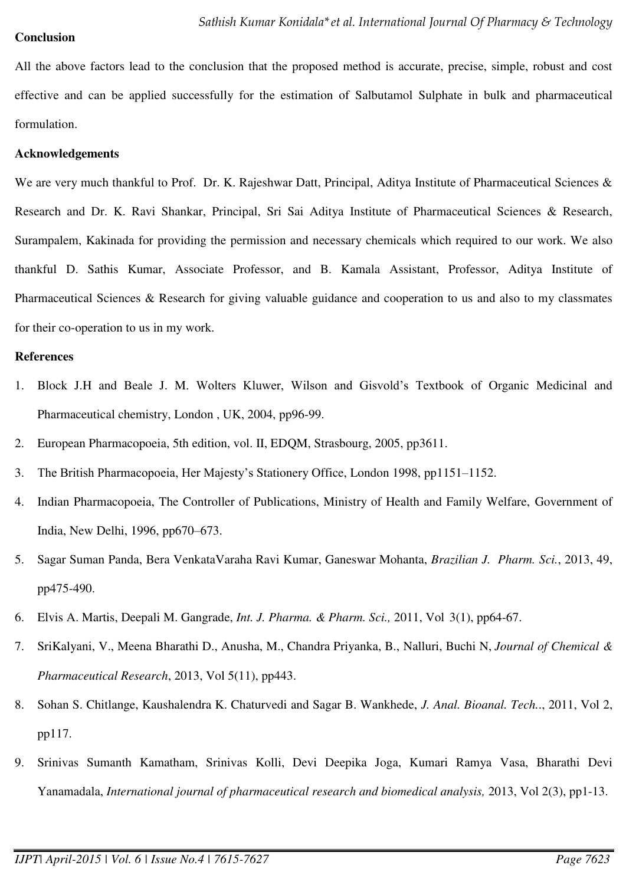#### **Conclusion**

All the above factors lead to the conclusion that the proposed method is accurate, precise, simple, robust and cost effective and can be applied successfully for the estimation of Salbutamol Sulphate in bulk and pharmaceutical formulation.

#### **Acknowledgements**

We are very much thankful to Prof. Dr. K. Rajeshwar Datt, Principal, Aditya Institute of Pharmaceutical Sciences & Research and Dr. K. Ravi Shankar, Principal, Sri Sai Aditya Institute of Pharmaceutical Sciences & Research, Surampalem, Kakinada for providing the permission and necessary chemicals which required to our work. We also thankful D. Sathis Kumar, Associate Professor, and B. Kamala Assistant, Professor, Aditya Institute of Pharmaceutical Sciences & Research for giving valuable guidance and cooperation to us and also to my classmates for their co-operation to us in my work.

#### **References**

- 1. Block J.H and Beale J. M. Wolters Kluwer, Wilson and Gisvold's Textbook of Organic Medicinal and Pharmaceutical chemistry, London , UK, 2004, pp96-99.
- 2. European Pharmacopoeia, 5th edition, vol. II, EDQM, Strasbourg, 2005, pp3611.
- 3. The British Pharmacopoeia, Her Majesty's Stationery Office, London 1998, pp1151–1152.
- 4. Indian Pharmacopoeia, The Controller of Publications, Ministry of Health and Family Welfare, Government of India, New Delhi, 1996, pp670–673.
- 5. Sagar Suman Panda, Bera VenkataVaraha Ravi Kumar, Ganeswar Mohanta, *Brazilian J. Pharm. Sci.*, 2013, 49, pp475-490.
- 6. Elvis A. Martis, Deepali M. Gangrade, *Int. J. Pharma. & Pharm. Sci.,* 2011, Vol 3(1), pp64-67.
- 7. SriKalyani, V., Meena Bharathi D., Anusha, M., Chandra Priyanka, B., Nalluri, Buchi N, *Journal of Chemical & Pharmaceutical Research*, 2013, Vol 5(11), pp443.
- 8. Sohan S. Chitlange, Kaushalendra K. Chaturvedi and Sagar B. Wankhede, *J. Anal. Bioanal. Tech.*., 2011, Vol 2, pp117.
- 9. Srinivas Sumanth Kamatham, Srinivas Kolli, Devi Deepika Joga, Kumari Ramya Vasa, Bharathi Devi Yanamadala, *International journal of pharmaceutical research and biomedical analysis,* 2013, Vol 2(3), pp1-13.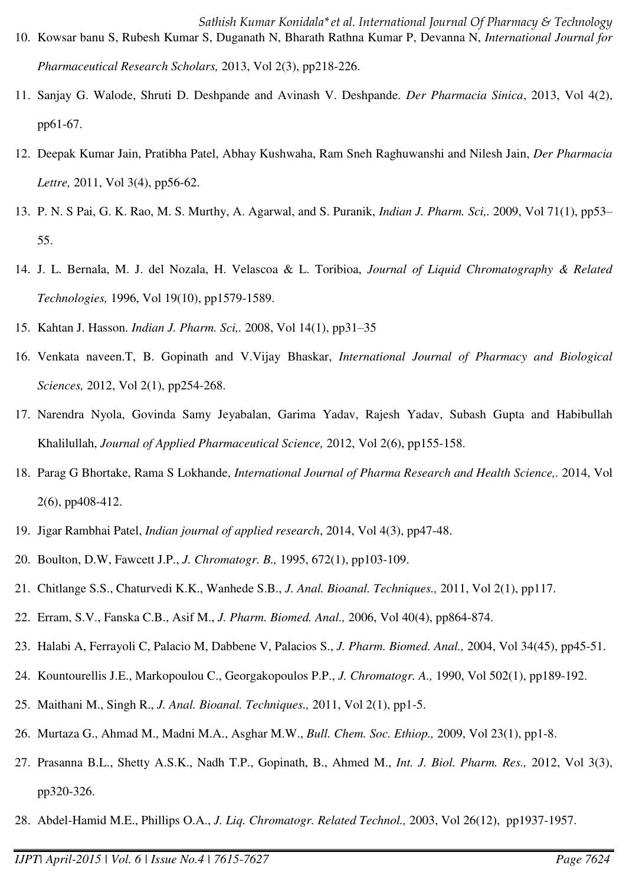- 11. Sanjay G. Walode, Shruti D. Deshpande and Avinash V. Deshpande. *Der Pharmacia Sinica*, 2013, Vol 4(2), pp61-67.
- 12. Deepak Kumar Jain, Pratibha Patel, Abhay Kushwaha, Ram Sneh Raghuwanshi and Nilesh Jain, *Der Pharmacia Lettre,* 2011, Vol 3(4), pp56-62.
- 13. P. N. S Pai, G. K. Rao, M. S. Murthy, A. Agarwal, and S. Puranik, *Indian J. Pharm. Sci,.* 2009, Vol 71(1), pp53– 55.
- 14. J. L. Bernala, M. J. del Nozala, H. Velascoa & L. Toribioa, *Journal of Liquid Chromatography & Related Technologies,* 1996, Vol 19(10), pp1579-1589.
- 15. Kahtan J. Hasson. *Indian J. Pharm. Sci,.* 2008, Vol 14(1), pp31–35
- 16. Venkata naveen.T, B. Gopinath and V.Vijay Bhaskar, *International Journal of Pharmacy and Biological Sciences,* 2012, Vol 2(1), pp254-268.
- 17. Narendra Nyola, Govinda Samy Jeyabalan, Garima Yadav, Rajesh Yadav, Subash Gupta and Habibullah Khalilullah, *Journal of Applied Pharmaceutical Science,* 2012, Vol 2(6), pp155-158.
- 18. Parag G Bhortake, Rama S Lokhande, *International Journal of Pharma Research and Health Science,.* 2014, Vol 2(6), pp408-412.
- 19. Jigar Rambhai Patel, *Indian journal of applied research*, 2014, Vol 4(3), pp47-48.
- 20. Boulton, D.W, Fawcett J.P., *J. Chromatogr. B.,* 1995, 672(1), pp103-109.
- 21. Chitlange S.S., Chaturvedi K.K., Wanhede S.B., *J. Anal. Bioanal. Techniques.,* 2011, Vol 2(1), pp117.
- 22. Erram, S.V., Fanska C.B., Asif M., *J. Pharm. Biomed. Anal.,* 2006, Vol 40(4), pp864-874.
- 23. Halabi A, Ferrayoli C, Palacio M, Dabbene V, Palacios S., *J. Pharm. Biomed. Anal.,* 2004, Vol 34(45), pp45-51.
- 24. Kountourellis J.E., Markopoulou C., Georgakopoulos P.P., *J. Chromatogr. A.,* 1990, Vol 502(1), pp189-192.
- 25. Maithani M., Singh R., *J. Anal. Bioanal. Techniques.,* 2011, Vol 2(1), pp1-5.
- 26. Murtaza G., Ahmad M., Madni M.A., Asghar M.W., *Bull. Chem. Soc. Ethiop.,* 2009, Vol 23(1), pp1-8.
- 27. Prasanna B.L., Shetty A.S.K., Nadh T.P., Gopinath, B., Ahmed M., *Int. J. Biol. Pharm. Res.,* 2012, Vol 3(3), pp320-326.
- 28. Abdel-Hamid M.E., Phillips O.A., *J. Liq. Chromatogr. Related Technol.,* 2003, Vol 26(12), pp1937-1957.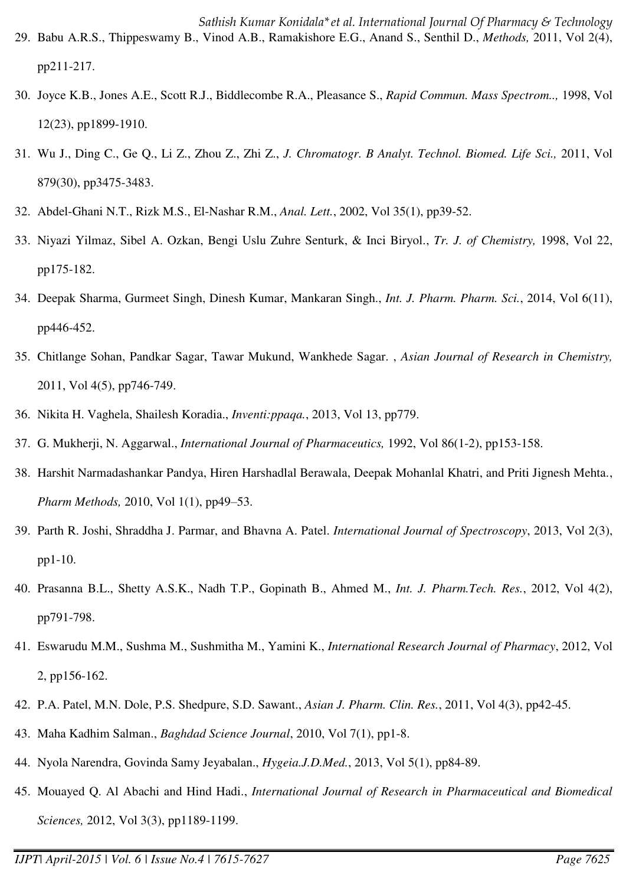- 29. Babu A.R.S., Thippeswamy B., Vinod A.B., Ramakishore E.G., Anand S., Senthil D., *Methods,* 2011, Vol 2(4), pp211-217.
- 30. Joyce K.B., Jones A.E., Scott R.J., Biddlecombe R.A., Pleasance S., *Rapid Commun. Mass Spectrom..,* 1998, Vol 12(23), pp1899-1910.
- 31. Wu J., Ding C., Ge Q., Li Z., Zhou Z., Zhi Z., *J. Chromatogr. B Analyt. Technol. Biomed. Life Sci.,* 2011, Vol 879(30), pp3475-3483.
- 32. Abdel-Ghani N.T., Rizk M.S., El-Nashar R.M., *Anal. Lett.*, 2002, Vol 35(1), pp39-52.
- 33. Niyazi Yilmaz, Sibel A. Ozkan, Bengi Uslu Zuhre Senturk, & Inci Biryol., *Tr. J. of Chemistry,* 1998, Vol 22, pp175-182.
- 34. Deepak Sharma, Gurmeet Singh, Dinesh Kumar, Mankaran Singh., *Int. J. Pharm. Pharm. Sci.*, 2014, Vol 6(11), pp446-452.
- 35. Chitlange Sohan, Pandkar Sagar, Tawar Mukund, Wankhede Sagar. , *Asian Journal of Research in Chemistry,* 2011, Vol 4(5), pp746-749.
- 36. Nikita H. Vaghela, Shailesh Koradia., *Inventi:ppaqa.*, 2013, Vol 13, pp779.
- 37. G. Mukherji, N. Aggarwal., *International Journal of Pharmaceutics,* 1992, Vol 86(1-2), pp153-158.
- 38. Harshit Narmadashankar Pandya, Hiren Harshadlal Berawala, Deepak Mohanlal Khatri, and Priti Jignesh Mehta., *Pharm Methods,* 2010, Vol 1(1), pp49–53.
- 39. Parth R. Joshi, Shraddha J. Parmar, and Bhavna A. Patel. *International Journal of Spectroscopy*, 2013, Vol 2(3), pp1-10.
- 40. Prasanna B.L., Shetty A.S.K., Nadh T.P., Gopinath B., Ahmed M., *Int. J. Pharm.Tech. Res.*, 2012, Vol 4(2), pp791-798.
- 41. Eswarudu M.M., Sushma M., Sushmitha M., Yamini K., *International Research Journal of Pharmacy*, 2012, Vol 2, pp156-162.
- 42. P.A. Patel, M.N. Dole, P.S. Shedpure, S.D. Sawant., *Asian J. Pharm. Clin. Res.*, 2011, Vol 4(3), pp42-45.
- 43. Maha Kadhim Salman., *Baghdad Science Journal*, 2010, Vol 7(1), pp1-8.
- 44. Nyola Narendra, Govinda Samy Jeyabalan., *Hygeia.J.D.Med.*, 2013, Vol 5(1), pp84-89.
- 45. Mouayed Q. Al Abachi and Hind Hadi., *International Journal of Research in Pharmaceutical and Biomedical Sciences,* 2012, Vol 3(3), pp1189-1199.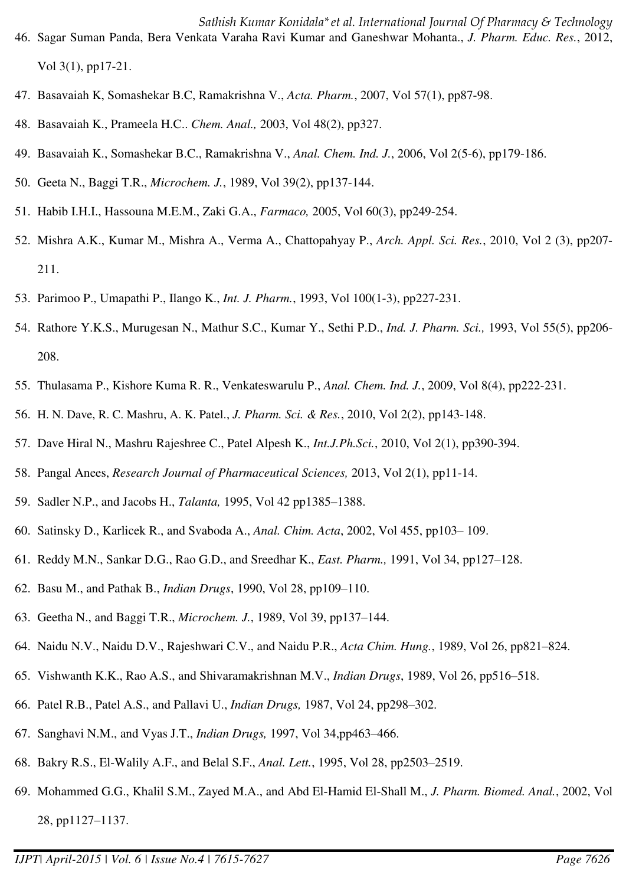- 47. Basavaiah K, Somashekar B.C, Ramakrishna V., *Acta. Pharm.*, 2007, Vol 57(1), pp87-98.
- 48. Basavaiah K., Prameela H.C.. *Chem. Anal.,* 2003, Vol 48(2), pp327.
- 49. Basavaiah K., Somashekar B.C., Ramakrishna V., *Anal. Chem. Ind. J.*, 2006, Vol 2(5-6), pp179-186.
- 50. Geeta N., Baggi T.R., *Microchem. J.*, 1989, Vol 39(2), pp137-144.
- 51. Habib I.H.I., Hassouna M.E.M., Zaki G.A., *Farmaco,* 2005, Vol 60(3), pp249-254.
- 52. Mishra A.K., Kumar M., Mishra A., Verma A., Chattopahyay P., *Arch. Appl. Sci. Res.*, 2010, Vol 2 (3), pp207- 211.
- 53. Parimoo P., Umapathi P., Ilango K., *Int. J. Pharm.*, 1993, Vol 100(1-3), pp227-231.
- 54. Rathore Y.K.S., Murugesan N., Mathur S.C., Kumar Y., Sethi P.D., *Ind. J. Pharm. Sci.,* 1993, Vol 55(5), pp206- 208.
- 55. Thulasama P., Kishore Kuma R. R., Venkateswarulu P., *Anal. Chem. Ind. J.*, 2009, Vol 8(4), pp222-231.
- 56. H. N. Dave, R. C. Mashru, A. K. Patel., *J. Pharm. Sci. & Res.*, 2010, Vol 2(2), pp143-148.
- 57. Dave Hiral N., Mashru Rajeshree C., Patel Alpesh K., *Int.J.Ph.Sci.*, 2010, Vol 2(1), pp390-394.
- 58. Pangal Anees, *Research Journal of Pharmaceutical Sciences,* 2013, Vol 2(1), pp11-14.
- 59. Sadler N.P., and Jacobs H., *Talanta,* 1995, Vol 42 pp1385–1388.
- 60. Satinsky D., Karlicek R., and Svaboda A., *Anal. Chim. Acta*, 2002, Vol 455, pp103– 109.
- 61. Reddy M.N., Sankar D.G., Rao G.D., and Sreedhar K., *East. Pharm.,* 1991, Vol 34, pp127–128.
- 62. Basu M., and Pathak B., *Indian Drugs*, 1990, Vol 28, pp109–110.
- 63. Geetha N., and Baggi T.R., *Microchem. J.*, 1989, Vol 39, pp137–144.
- 64. Naidu N.V., Naidu D.V., Rajeshwari C.V., and Naidu P.R., *Acta Chim. Hung.*, 1989, Vol 26, pp821–824.
- 65. Vishwanth K.K., Rao A.S., and Shivaramakrishnan M.V., *Indian Drugs*, 1989, Vol 26, pp516–518.
- 66. Patel R.B., Patel A.S., and Pallavi U., *Indian Drugs,* 1987, Vol 24, pp298–302.
- 67. Sanghavi N.M., and Vyas J.T., *Indian Drugs,* 1997, Vol 34,pp463–466.
- 68. Bakry R.S., El-Walily A.F., and Belal S.F., *Anal. Lett.*, 1995, Vol 28, pp2503–2519.
- 69. Mohammed G.G., Khalil S.M., Zayed M.A., and Abd El-Hamid El-Shall M., *J. Pharm. Biomed. Anal.*, 2002, Vol 28, pp1127–1137.